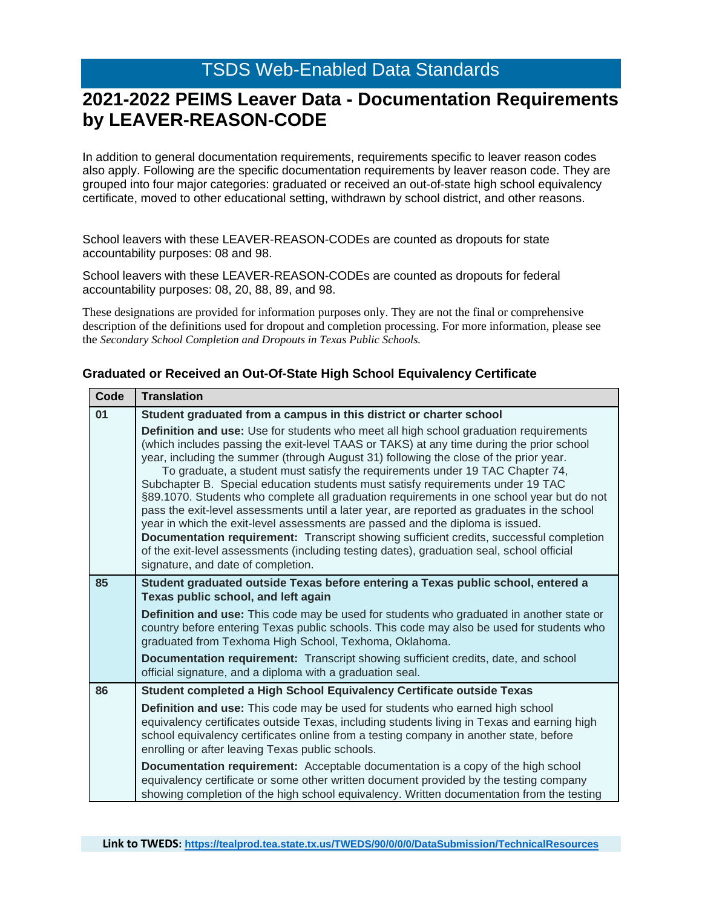### **2021-2022 PEIMS Leaver Data - Documentation Requirements by LEAVER-REASON-CODE**

In addition to general documentation requirements, requirements specific to leaver reason codes also apply. Following are the specific documentation requirements by leaver reason code. They are grouped into four major categories: graduated or received an out-of-state high school equivalency certificate, moved to other educational setting, withdrawn by school district, and other reasons.

School leavers with these LEAVER-REASON-CODEs are counted as dropouts for state accountability purposes: 08 and 98.

School leavers with these LEAVER-REASON-CODEs are counted as dropouts for federal accountability purposes: 08, 20, 88, 89, and 98.

These designations are provided for information purposes only. They are not the final or comprehensive description of the definitions used for dropout and completion processing. For more information, please see the *Secondary School Completion and Dropouts in Texas Public Schools.*

| vuut | Halisiauvii                                                                                                                                                                                                                                                                                                                                                                                                                                                                                                                                                                                                                                                                                                                                                                                                                                                                                                                                                |
|------|------------------------------------------------------------------------------------------------------------------------------------------------------------------------------------------------------------------------------------------------------------------------------------------------------------------------------------------------------------------------------------------------------------------------------------------------------------------------------------------------------------------------------------------------------------------------------------------------------------------------------------------------------------------------------------------------------------------------------------------------------------------------------------------------------------------------------------------------------------------------------------------------------------------------------------------------------------|
| 01   | Student graduated from a campus in this district or charter school                                                                                                                                                                                                                                                                                                                                                                                                                                                                                                                                                                                                                                                                                                                                                                                                                                                                                         |
|      | Definition and use: Use for students who meet all high school graduation requirements<br>(which includes passing the exit-level TAAS or TAKS) at any time during the prior school<br>year, including the summer (through August 31) following the close of the prior year.<br>To graduate, a student must satisfy the requirements under 19 TAC Chapter 74,<br>Subchapter B. Special education students must satisfy requirements under 19 TAC<br>§89.1070. Students who complete all graduation requirements in one school year but do not<br>pass the exit-level assessments until a later year, are reported as graduates in the school<br>year in which the exit-level assessments are passed and the diploma is issued.<br>Documentation requirement: Transcript showing sufficient credits, successful completion<br>of the exit-level assessments (including testing dates), graduation seal, school official<br>signature, and date of completion. |
| 85   | Student graduated outside Texas before entering a Texas public school, entered a<br>Texas public school, and left again<br>Definition and use: This code may be used for students who graduated in another state or<br>country before entering Texas public schools. This code may also be used for students who<br>graduated from Texhoma High School, Texhoma, Oklahoma.<br><b>Documentation requirement:</b> Transcript showing sufficient credits, date, and school<br>official signature, and a diploma with a graduation seal.                                                                                                                                                                                                                                                                                                                                                                                                                       |
| 86   | Student completed a High School Equivalency Certificate outside Texas                                                                                                                                                                                                                                                                                                                                                                                                                                                                                                                                                                                                                                                                                                                                                                                                                                                                                      |
|      | Definition and use: This code may be used for students who earned high school<br>equivalency certificates outside Texas, including students living in Texas and earning high<br>school equivalency certificates online from a testing company in another state, before<br>enrolling or after leaving Texas public schools.                                                                                                                                                                                                                                                                                                                                                                                                                                                                                                                                                                                                                                 |
|      | <b>Documentation requirement:</b> Acceptable documentation is a copy of the high school<br>equivalency certificate or some other written document provided by the testing company<br>showing completion of the high school equivalency. Written documentation from the testing                                                                                                                                                                                                                                                                                                                                                                                                                                                                                                                                                                                                                                                                             |

#### **Graduated or Received an Out-Of-State High School Equivalency Certificate**

**Code Translation**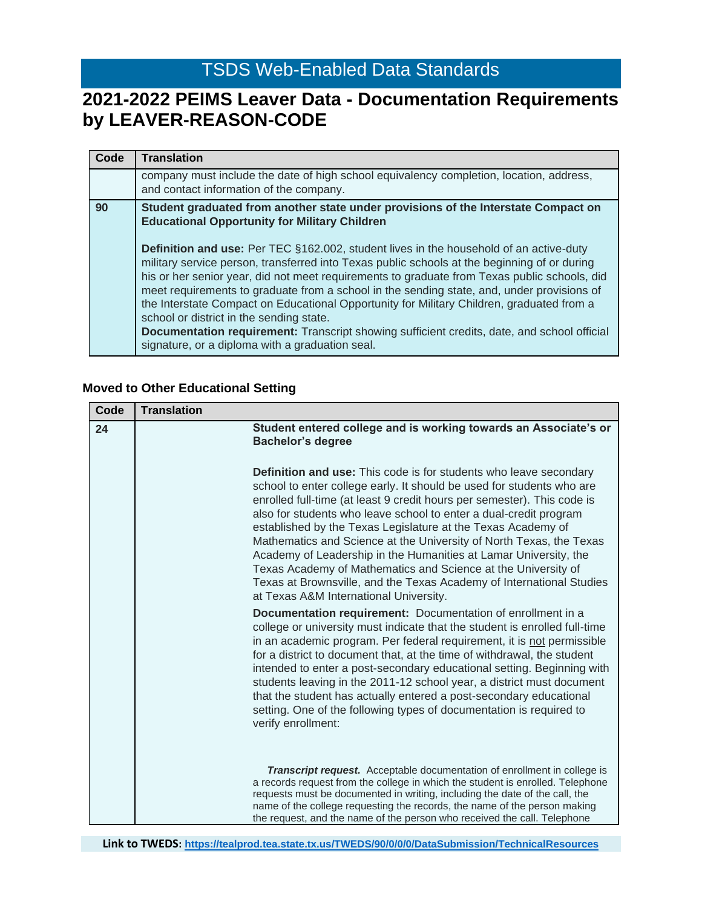## **2021-2022 PEIMS Leaver Data - Documentation Requirements by LEAVER-REASON-CODE**

| Code | <b>Translation</b>                                                                                                                                                                                                                                                                                                                                                                                                                                                                                                                                                                                                                                                                     |
|------|----------------------------------------------------------------------------------------------------------------------------------------------------------------------------------------------------------------------------------------------------------------------------------------------------------------------------------------------------------------------------------------------------------------------------------------------------------------------------------------------------------------------------------------------------------------------------------------------------------------------------------------------------------------------------------------|
|      | company must include the date of high school equivalency completion, location, address,<br>and contact information of the company.                                                                                                                                                                                                                                                                                                                                                                                                                                                                                                                                                     |
| 90   | Student graduated from another state under provisions of the Interstate Compact on<br><b>Educational Opportunity for Military Children</b>                                                                                                                                                                                                                                                                                                                                                                                                                                                                                                                                             |
|      | <b>Definition and use:</b> Per TEC §162.002, student lives in the household of an active-duty<br>military service person, transferred into Texas public schools at the beginning of or during<br>his or her senior year, did not meet requirements to graduate from Texas public schools, did<br>meet requirements to graduate from a school in the sending state, and, under provisions of<br>the Interstate Compact on Educational Opportunity for Military Children, graduated from a<br>school or district in the sending state.<br>Documentation requirement: Transcript showing sufficient credits, date, and school official<br>signature, or a diploma with a graduation seal. |

#### **Moved to Other Educational Setting**

| Code | <b>Translation</b>                                                                                                                                                                                                                                                                                                                                                                                                                                                                                                                                                                                                                                                                              |
|------|-------------------------------------------------------------------------------------------------------------------------------------------------------------------------------------------------------------------------------------------------------------------------------------------------------------------------------------------------------------------------------------------------------------------------------------------------------------------------------------------------------------------------------------------------------------------------------------------------------------------------------------------------------------------------------------------------|
| 24   | Student entered college and is working towards an Associate's or<br><b>Bachelor's degree</b>                                                                                                                                                                                                                                                                                                                                                                                                                                                                                                                                                                                                    |
|      | <b>Definition and use:</b> This code is for students who leave secondary<br>school to enter college early. It should be used for students who are<br>enrolled full-time (at least 9 credit hours per semester). This code is<br>also for students who leave school to enter a dual-credit program<br>established by the Texas Legislature at the Texas Academy of<br>Mathematics and Science at the University of North Texas, the Texas<br>Academy of Leadership in the Humanities at Lamar University, the<br>Texas Academy of Mathematics and Science at the University of<br>Texas at Brownsville, and the Texas Academy of International Studies<br>at Texas A&M International University. |
|      | <b>Documentation requirement:</b> Documentation of enrollment in a<br>college or university must indicate that the student is enrolled full-time<br>in an academic program. Per federal requirement, it is not permissible<br>for a district to document that, at the time of withdrawal, the student<br>intended to enter a post-secondary educational setting. Beginning with<br>students leaving in the 2011-12 school year, a district must document<br>that the student has actually entered a post-secondary educational<br>setting. One of the following types of documentation is required to<br>verify enrollment:                                                                     |
|      | <b>Transcript request.</b> Acceptable documentation of enrollment in college is<br>a records request from the college in which the student is enrolled. Telephone<br>requests must be documented in writing, including the date of the call, the<br>name of the college requesting the records, the name of the person making<br>the request, and the name of the person who received the call. Telephone                                                                                                                                                                                                                                                                                       |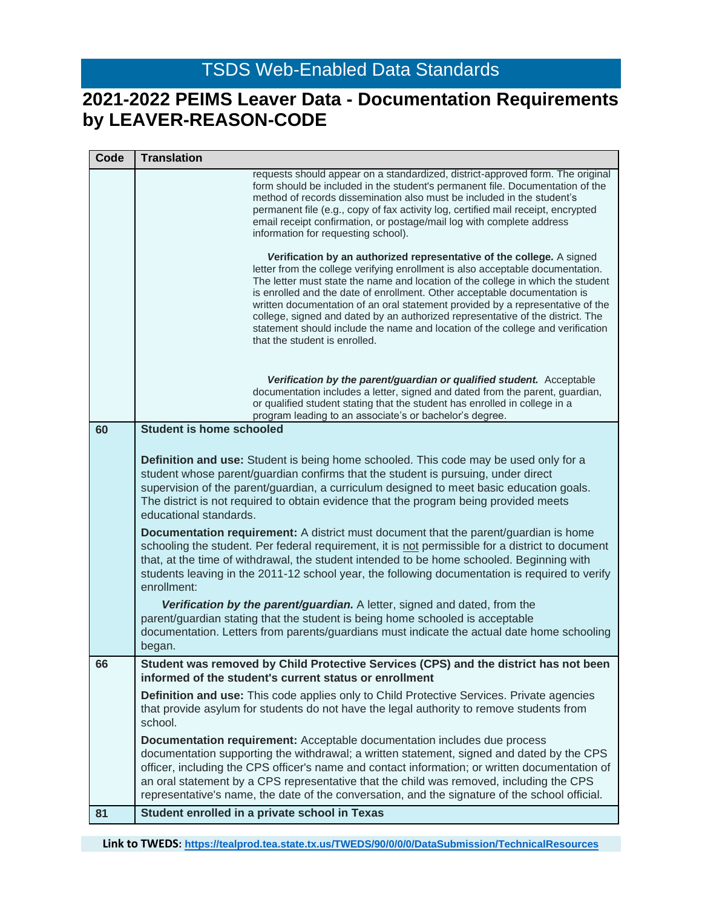## **2021-2022 PEIMS Leaver Data - Documentation Requirements by LEAVER-REASON-CODE**

| Code | <b>Translation</b>                                                                                                                                                                                                                                                                                                                                                                                                                                                                                                                                                                                                                                                                                                                                                                                                                                                                                                                                                      |
|------|-------------------------------------------------------------------------------------------------------------------------------------------------------------------------------------------------------------------------------------------------------------------------------------------------------------------------------------------------------------------------------------------------------------------------------------------------------------------------------------------------------------------------------------------------------------------------------------------------------------------------------------------------------------------------------------------------------------------------------------------------------------------------------------------------------------------------------------------------------------------------------------------------------------------------------------------------------------------------|
|      | requests should appear on a standardized, district-approved form. The original<br>form should be included in the student's permanent file. Documentation of the<br>method of records dissemination also must be included in the student's<br>permanent file (e.g., copy of fax activity log, certified mail receipt, encrypted<br>email receipt confirmation, or postage/mail log with complete address<br>information for requesting school).                                                                                                                                                                                                                                                                                                                                                                                                                                                                                                                          |
|      | Verification by an authorized representative of the college. A signed<br>letter from the college verifying enrollment is also acceptable documentation.<br>The letter must state the name and location of the college in which the student<br>is enrolled and the date of enrollment. Other acceptable documentation is<br>written documentation of an oral statement provided by a representative of the<br>college, signed and dated by an authorized representative of the district. The<br>statement should include the name and location of the college and verification<br>that the student is enrolled.                                                                                                                                                                                                                                                                                                                                                          |
|      | Verification by the parent/guardian or qualified student. Acceptable<br>documentation includes a letter, signed and dated from the parent, guardian,<br>or qualified student stating that the student has enrolled in college in a<br>program leading to an associate's or bachelor's degree.                                                                                                                                                                                                                                                                                                                                                                                                                                                                                                                                                                                                                                                                           |
| 60   | <b>Student is home schooled</b>                                                                                                                                                                                                                                                                                                                                                                                                                                                                                                                                                                                                                                                                                                                                                                                                                                                                                                                                         |
|      | Definition and use: Student is being home schooled. This code may be used only for a<br>student whose parent/guardian confirms that the student is pursuing, under direct<br>supervision of the parent/guardian, a curriculum designed to meet basic education goals.<br>The district is not required to obtain evidence that the program being provided meets<br>educational standards.<br><b>Documentation requirement:</b> A district must document that the parent/guardian is home<br>schooling the student. Per federal requirement, it is not permissible for a district to document<br>that, at the time of withdrawal, the student intended to be home schooled. Beginning with<br>students leaving in the 2011-12 school year, the following documentation is required to verify<br>enrollment:<br>Verification by the parent/guardian. A letter, signed and dated, from the<br>parent/guardian stating that the student is being home schooled is acceptable |
|      | documentation. Letters from parents/guardians must indicate the actual date home schooling<br>began.                                                                                                                                                                                                                                                                                                                                                                                                                                                                                                                                                                                                                                                                                                                                                                                                                                                                    |
| 66   | Student was removed by Child Protective Services (CPS) and the district has not been<br>informed of the student's current status or enrollment                                                                                                                                                                                                                                                                                                                                                                                                                                                                                                                                                                                                                                                                                                                                                                                                                          |
|      | Definition and use: This code applies only to Child Protective Services. Private agencies<br>that provide asylum for students do not have the legal authority to remove students from<br>school.                                                                                                                                                                                                                                                                                                                                                                                                                                                                                                                                                                                                                                                                                                                                                                        |
|      | Documentation requirement: Acceptable documentation includes due process<br>documentation supporting the withdrawal; a written statement, signed and dated by the CPS<br>officer, including the CPS officer's name and contact information; or written documentation of<br>an oral statement by a CPS representative that the child was removed, including the CPS<br>representative's name, the date of the conversation, and the signature of the school official.                                                                                                                                                                                                                                                                                                                                                                                                                                                                                                    |
| 81   | Student enrolled in a private school in Texas                                                                                                                                                                                                                                                                                                                                                                                                                                                                                                                                                                                                                                                                                                                                                                                                                                                                                                                           |

**Link to TWEDS: <https://tealprod.tea.state.tx.us/TWEDS/90/0/0/0/DataSubmission/TechnicalResources>**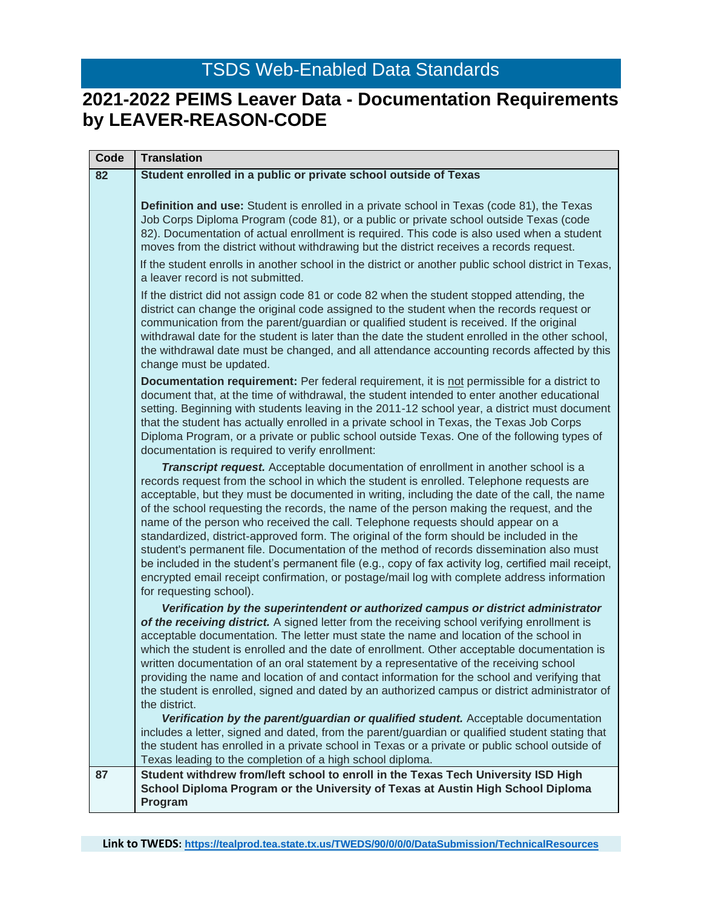| Code | <b>Translation</b>                                                                                                                                                                                                                                                                                                                                                                                                                                                                                                                                                                                                                                                                                                                                                                                                                                                                                                                                                                 |
|------|------------------------------------------------------------------------------------------------------------------------------------------------------------------------------------------------------------------------------------------------------------------------------------------------------------------------------------------------------------------------------------------------------------------------------------------------------------------------------------------------------------------------------------------------------------------------------------------------------------------------------------------------------------------------------------------------------------------------------------------------------------------------------------------------------------------------------------------------------------------------------------------------------------------------------------------------------------------------------------|
| 82   | Student enrolled in a public or private school outside of Texas                                                                                                                                                                                                                                                                                                                                                                                                                                                                                                                                                                                                                                                                                                                                                                                                                                                                                                                    |
|      | Definition and use: Student is enrolled in a private school in Texas (code 81), the Texas<br>Job Corps Diploma Program (code 81), or a public or private school outside Texas (code<br>82). Documentation of actual enrollment is required. This code is also used when a student<br>moves from the district without withdrawing but the district receives a records request.                                                                                                                                                                                                                                                                                                                                                                                                                                                                                                                                                                                                      |
|      | If the student enrolls in another school in the district or another public school district in Texas,<br>a leaver record is not submitted.                                                                                                                                                                                                                                                                                                                                                                                                                                                                                                                                                                                                                                                                                                                                                                                                                                          |
|      | If the district did not assign code 81 or code 82 when the student stopped attending, the<br>district can change the original code assigned to the student when the records request or<br>communication from the parent/guardian or qualified student is received. If the original<br>withdrawal date for the student is later than the date the student enrolled in the other school,<br>the withdrawal date must be changed, and all attendance accounting records affected by this<br>change must be updated.                                                                                                                                                                                                                                                                                                                                                                                                                                                                   |
|      | <b>Documentation requirement:</b> Per federal requirement, it is not permissible for a district to<br>document that, at the time of withdrawal, the student intended to enter another educational<br>setting. Beginning with students leaving in the 2011-12 school year, a district must document<br>that the student has actually enrolled in a private school in Texas, the Texas Job Corps<br>Diploma Program, or a private or public school outside Texas. One of the following types of<br>documentation is required to verify enrollment:                                                                                                                                                                                                                                                                                                                                                                                                                                   |
|      | <b>Transcript request.</b> Acceptable documentation of enrollment in another school is a<br>records request from the school in which the student is enrolled. Telephone requests are<br>acceptable, but they must be documented in writing, including the date of the call, the name<br>of the school requesting the records, the name of the person making the request, and the<br>name of the person who received the call. Telephone requests should appear on a<br>standardized, district-approved form. The original of the form should be included in the<br>student's permanent file. Documentation of the method of records dissemination also must<br>be included in the student's permanent file (e.g., copy of fax activity log, certified mail receipt,<br>encrypted email receipt confirmation, or postage/mail log with complete address information<br>for requesting school).                                                                                      |
|      | Verification by the superintendent or authorized campus or district administrator<br>of the receiving district. A signed letter from the receiving school verifying enrollment is<br>acceptable documentation. The letter must state the name and location of the school in<br>which the student is enrolled and the date of enrollment. Other acceptable documentation is<br>written documentation of an oral statement by a representative of the receiving school<br>providing the name and location of and contact information for the school and verifying that<br>the student is enrolled, signed and dated by an authorized campus or district administrator of<br>the district.<br>Verification by the parent/guardian or qualified student. Acceptable documentation<br>includes a letter, signed and dated, from the parent/guardian or qualified student stating that<br>the student has enrolled in a private school in Texas or a private or public school outside of |
| 87   | Texas leading to the completion of a high school diploma.<br>Student withdrew from/left school to enroll in the Texas Tech University ISD High<br>School Diploma Program or the University of Texas at Austin High School Diploma<br>Program                                                                                                                                                                                                                                                                                                                                                                                                                                                                                                                                                                                                                                                                                                                                       |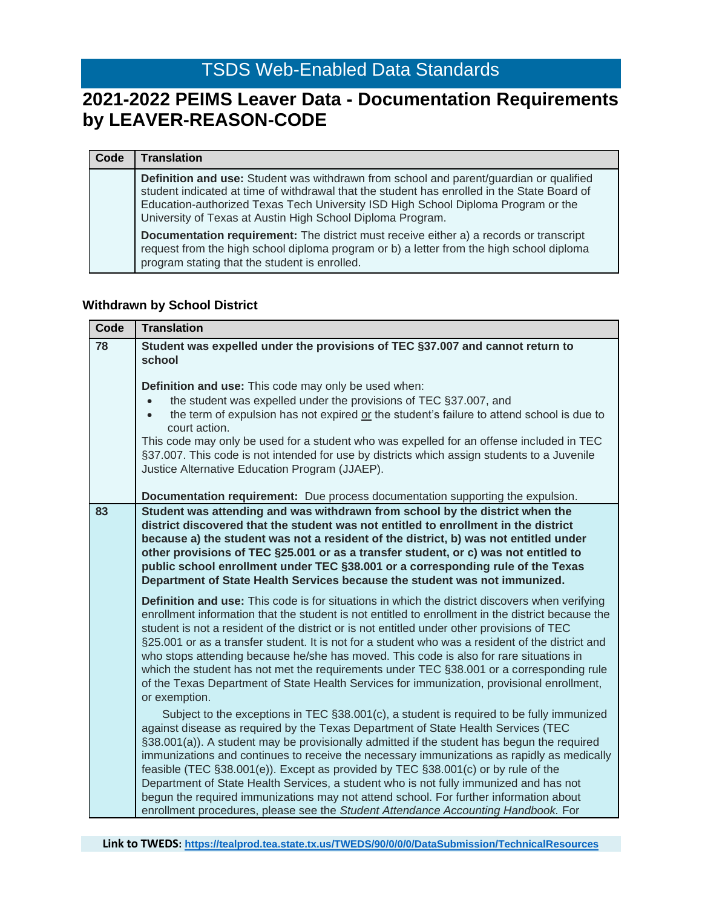## **2021-2022 PEIMS Leaver Data - Documentation Requirements by LEAVER-REASON-CODE**

| Code | <b>Translation</b>                                                                                                                                                                                                                                                                                                                       |
|------|------------------------------------------------------------------------------------------------------------------------------------------------------------------------------------------------------------------------------------------------------------------------------------------------------------------------------------------|
|      | Definition and use: Student was withdrawn from school and parent/guardian or qualified<br>student indicated at time of withdrawal that the student has enrolled in the State Board of<br>Education-authorized Texas Tech University ISD High School Diploma Program or the<br>University of Texas at Austin High School Diploma Program. |
|      | <b>Documentation requirement:</b> The district must receive either a) a records or transcript<br>request from the high school diploma program or b) a letter from the high school diploma<br>program stating that the student is enrolled.                                                                                               |

#### **Withdrawn by School District**

| Code | <b>Translation</b>                                                                                                                                                                                                                                                                                                                                                                                                                                                                                                                                                                                                                                                                                                                    |
|------|---------------------------------------------------------------------------------------------------------------------------------------------------------------------------------------------------------------------------------------------------------------------------------------------------------------------------------------------------------------------------------------------------------------------------------------------------------------------------------------------------------------------------------------------------------------------------------------------------------------------------------------------------------------------------------------------------------------------------------------|
| 78   | Student was expelled under the provisions of TEC §37.007 and cannot return to<br>school                                                                                                                                                                                                                                                                                                                                                                                                                                                                                                                                                                                                                                               |
|      | Definition and use: This code may only be used when:<br>the student was expelled under the provisions of TEC §37.007, and<br>the term of expulsion has not expired or the student's failure to attend school is due to<br>court action.<br>This code may only be used for a student who was expelled for an offense included in TEC<br>§37.007. This code is not intended for use by districts which assign students to a Juvenile<br>Justice Alternative Education Program (JJAEP).                                                                                                                                                                                                                                                  |
|      | Documentation requirement: Due process documentation supporting the expulsion.                                                                                                                                                                                                                                                                                                                                                                                                                                                                                                                                                                                                                                                        |
| 83   | Student was attending and was withdrawn from school by the district when the<br>district discovered that the student was not entitled to enrollment in the district<br>because a) the student was not a resident of the district, b) was not entitled under<br>other provisions of TEC §25.001 or as a transfer student, or c) was not entitled to<br>public school enrollment under TEC §38.001 or a corresponding rule of the Texas<br>Department of State Health Services because the student was not immunized.                                                                                                                                                                                                                   |
|      | Definition and use: This code is for situations in which the district discovers when verifying<br>enrollment information that the student is not entitled to enrollment in the district because the<br>student is not a resident of the district or is not entitled under other provisions of TEC<br>§25.001 or as a transfer student. It is not for a student who was a resident of the district and<br>who stops attending because he/she has moved. This code is also for rare situations in<br>which the student has not met the requirements under TEC §38.001 or a corresponding rule<br>of the Texas Department of State Health Services for immunization, provisional enrollment,<br>or exemption.                            |
|      | Subject to the exceptions in TEC §38.001(c), a student is required to be fully immunized<br>against disease as required by the Texas Department of State Health Services (TEC<br>§38.001(a)). A student may be provisionally admitted if the student has begun the required<br>immunizations and continues to receive the necessary immunizations as rapidly as medically<br>feasible (TEC §38.001(e)). Except as provided by TEC §38.001(c) or by rule of the<br>Department of State Health Services, a student who is not fully immunized and has not<br>begun the required immunizations may not attend school. For further information about<br>enrollment procedures, please see the Student Attendance Accounting Handbook. For |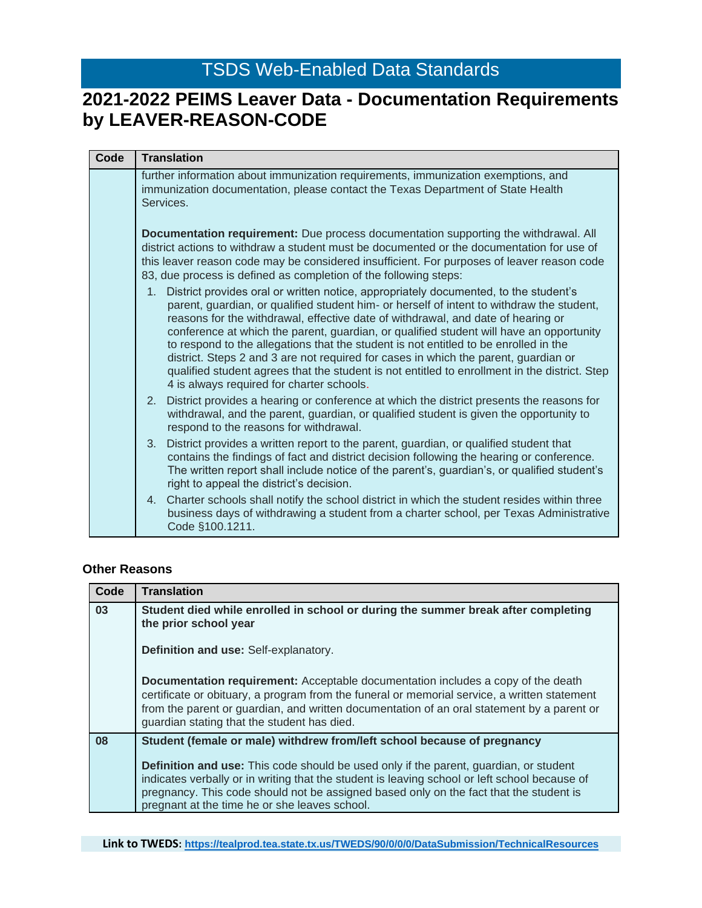## **2021-2022 PEIMS Leaver Data - Documentation Requirements by LEAVER-REASON-CODE**

| Code | <b>Translation</b>                                                                                                                                                                                                                                                                                                                                                                                                                                                                                                                                                                                                                                                                               |
|------|--------------------------------------------------------------------------------------------------------------------------------------------------------------------------------------------------------------------------------------------------------------------------------------------------------------------------------------------------------------------------------------------------------------------------------------------------------------------------------------------------------------------------------------------------------------------------------------------------------------------------------------------------------------------------------------------------|
|      | further information about immunization requirements, immunization exemptions, and<br>immunization documentation, please contact the Texas Department of State Health<br>Services.                                                                                                                                                                                                                                                                                                                                                                                                                                                                                                                |
|      | Documentation requirement: Due process documentation supporting the withdrawal. All<br>district actions to withdraw a student must be documented or the documentation for use of<br>this leaver reason code may be considered insufficient. For purposes of leaver reason code<br>83, due process is defined as completion of the following steps:                                                                                                                                                                                                                                                                                                                                               |
|      | 1. District provides oral or written notice, appropriately documented, to the student's<br>parent, guardian, or qualified student him- or herself of intent to withdraw the student,<br>reasons for the withdrawal, effective date of withdrawal, and date of hearing or<br>conference at which the parent, guardian, or qualified student will have an opportunity<br>to respond to the allegations that the student is not entitled to be enrolled in the<br>district. Steps 2 and 3 are not required for cases in which the parent, guardian or<br>qualified student agrees that the student is not entitled to enrollment in the district. Step<br>4 is always required for charter schools. |
|      | District provides a hearing or conference at which the district presents the reasons for<br>2.<br>withdrawal, and the parent, guardian, or qualified student is given the opportunity to<br>respond to the reasons for withdrawal.                                                                                                                                                                                                                                                                                                                                                                                                                                                               |
|      | District provides a written report to the parent, guardian, or qualified student that<br>3.<br>contains the findings of fact and district decision following the hearing or conference.<br>The written report shall include notice of the parent's, guardian's, or qualified student's<br>right to appeal the district's decision.                                                                                                                                                                                                                                                                                                                                                               |
|      | Charter schools shall notify the school district in which the student resides within three<br>4.<br>business days of withdrawing a student from a charter school, per Texas Administrative<br>Code §100.1211.                                                                                                                                                                                                                                                                                                                                                                                                                                                                                    |

#### **Other Reasons**

| Code | <b>Translation</b>                                                                                                                                                                                                                                                                                                                       |
|------|------------------------------------------------------------------------------------------------------------------------------------------------------------------------------------------------------------------------------------------------------------------------------------------------------------------------------------------|
| 03   | Student died while enrolled in school or during the summer break after completing<br>the prior school year                                                                                                                                                                                                                               |
|      | Definition and use: Self-explanatory.                                                                                                                                                                                                                                                                                                    |
|      | <b>Documentation requirement:</b> Acceptable documentation includes a copy of the death<br>certificate or obituary, a program from the funeral or memorial service, a written statement<br>from the parent or guardian, and written documentation of an oral statement by a parent or<br>guardian stating that the student has died.     |
| 08   | Student (female or male) withdrew from/left school because of pregnancy                                                                                                                                                                                                                                                                  |
|      | <b>Definition and use:</b> This code should be used only if the parent, guardian, or student<br>indicates verbally or in writing that the student is leaving school or left school because of<br>pregnancy. This code should not be assigned based only on the fact that the student is<br>pregnant at the time he or she leaves school. |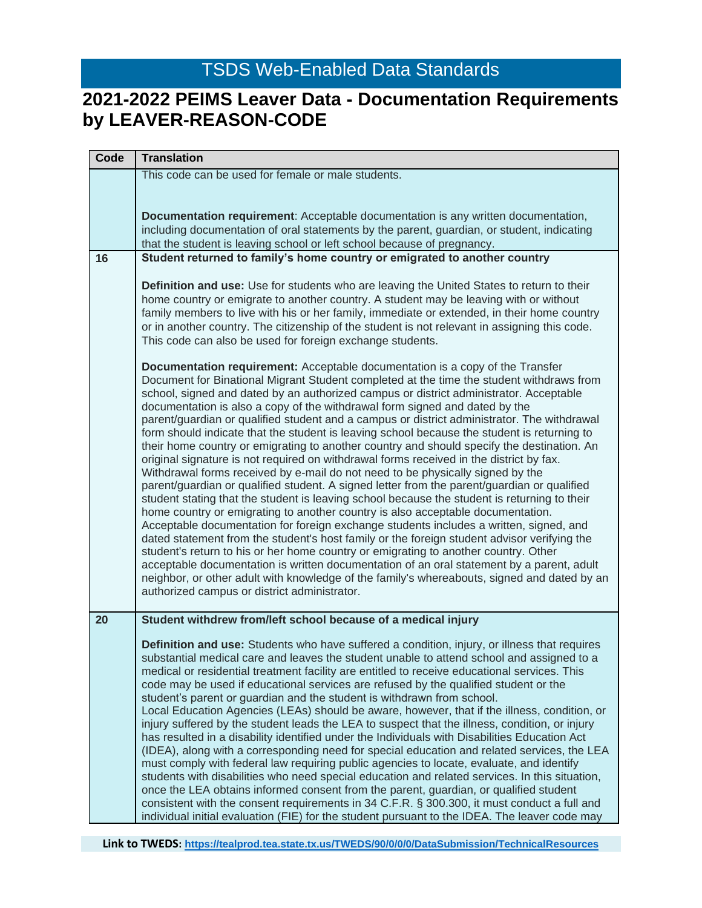| Code | <b>Translation</b>                                                                                                                                                                         |
|------|--------------------------------------------------------------------------------------------------------------------------------------------------------------------------------------------|
|      | This code can be used for female or male students.                                                                                                                                         |
|      |                                                                                                                                                                                            |
|      | Documentation requirement: Acceptable documentation is any written documentation,                                                                                                          |
|      | including documentation of oral statements by the parent, guardian, or student, indicating                                                                                                 |
|      | that the student is leaving school or left school because of pregnancy.                                                                                                                    |
| 16   | Student returned to family's home country or emigrated to another country                                                                                                                  |
|      |                                                                                                                                                                                            |
|      | Definition and use: Use for students who are leaving the United States to return to their<br>home country or emigrate to another country. A student may be leaving with or without         |
|      | family members to live with his or her family, immediate or extended, in their home country                                                                                                |
|      | or in another country. The citizenship of the student is not relevant in assigning this code.                                                                                              |
|      | This code can also be used for foreign exchange students.                                                                                                                                  |
|      | <b>Documentation requirement:</b> Acceptable documentation is a copy of the Transfer                                                                                                       |
|      | Document for Binational Migrant Student completed at the time the student withdraws from                                                                                                   |
|      | school, signed and dated by an authorized campus or district administrator. Acceptable                                                                                                     |
|      | documentation is also a copy of the withdrawal form signed and dated by the                                                                                                                |
|      | parent/guardian or qualified student and a campus or district administrator. The withdrawal<br>form should indicate that the student is leaving school because the student is returning to |
|      | their home country or emigrating to another country and should specify the destination. An                                                                                                 |
|      | original signature is not required on withdrawal forms received in the district by fax.                                                                                                    |
|      | Withdrawal forms received by e-mail do not need to be physically signed by the                                                                                                             |
|      | parent/guardian or qualified student. A signed letter from the parent/guardian or qualified                                                                                                |
|      | student stating that the student is leaving school because the student is returning to their<br>home country or emigrating to another country is also acceptable documentation.            |
|      | Acceptable documentation for foreign exchange students includes a written, signed, and                                                                                                     |
|      | dated statement from the student's host family or the foreign student advisor verifying the                                                                                                |
|      | student's return to his or her home country or emigrating to another country. Other                                                                                                        |
|      | acceptable documentation is written documentation of an oral statement by a parent, adult<br>neighbor, or other adult with knowledge of the family's whereabouts, signed and dated by an   |
|      | authorized campus or district administrator.                                                                                                                                               |
|      |                                                                                                                                                                                            |
| 20   | Student withdrew from/left school because of a medical injury                                                                                                                              |
|      | Definition and use: Students who have suffered a condition, injury, or illness that requires                                                                                               |
|      | substantial medical care and leaves the student unable to attend school and assigned to a                                                                                                  |
|      | medical or residential treatment facility are entitled to receive educational services. This                                                                                               |
|      | code may be used if educational services are refused by the qualified student or the<br>student's parent or guardian and the student is withdrawn from school.                             |
|      | Local Education Agencies (LEAs) should be aware, however, that if the illness, condition, or                                                                                               |
|      | injury suffered by the student leads the LEA to suspect that the illness, condition, or injury                                                                                             |
|      | has resulted in a disability identified under the Individuals with Disabilities Education Act                                                                                              |
|      | (IDEA), along with a corresponding need for special education and related services, the LEA                                                                                                |
|      | must comply with federal law requiring public agencies to locate, evaluate, and identify                                                                                                   |
|      | students with disabilities who need special education and related services. In this situation,<br>once the LEA obtains informed consent from the parent, guardian, or qualified student    |
|      | consistent with the consent requirements in 34 C.F.R. § 300.300, it must conduct a full and                                                                                                |
|      | individual initial evaluation (FIE) for the student pursuant to the IDEA. The leaver code may                                                                                              |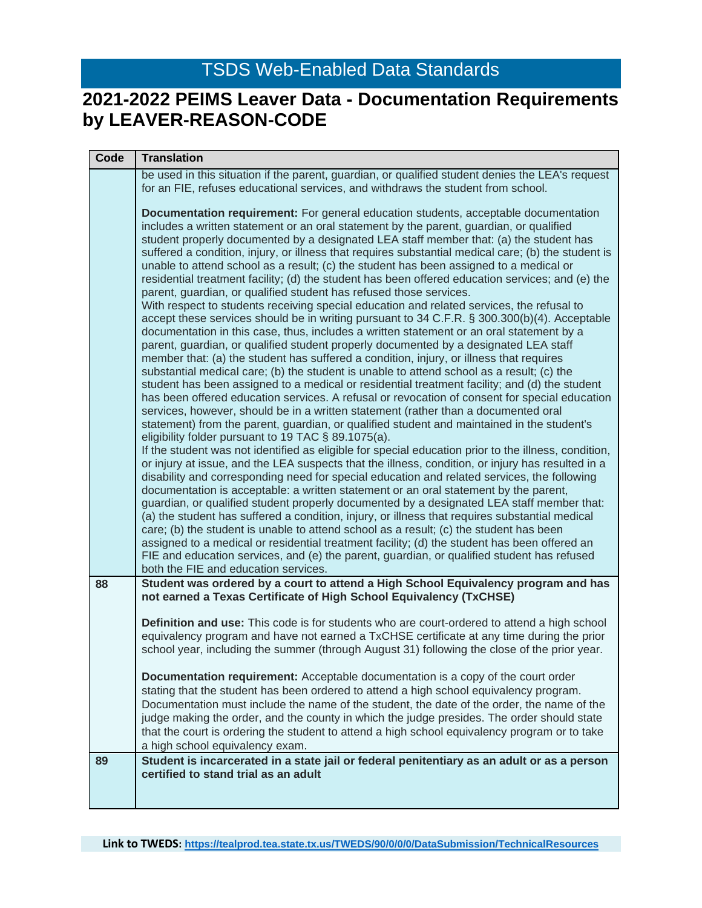| Code | <b>Translation</b>                                                                                                                                                                                                                                                                                                                                                                                                                                                                                                                                                                                                                                                                                                                                                                                                                                                                                                                                                                                                                                                                                                                                                                                                                                                                                                                                                                                                                                                                                                                                                                                                                                                                                                                                                                                                                                                                                                                                                                                                                                                                                                                                                                                                                                                                                                                                                                                                                                                                                                                                                                                                  |
|------|---------------------------------------------------------------------------------------------------------------------------------------------------------------------------------------------------------------------------------------------------------------------------------------------------------------------------------------------------------------------------------------------------------------------------------------------------------------------------------------------------------------------------------------------------------------------------------------------------------------------------------------------------------------------------------------------------------------------------------------------------------------------------------------------------------------------------------------------------------------------------------------------------------------------------------------------------------------------------------------------------------------------------------------------------------------------------------------------------------------------------------------------------------------------------------------------------------------------------------------------------------------------------------------------------------------------------------------------------------------------------------------------------------------------------------------------------------------------------------------------------------------------------------------------------------------------------------------------------------------------------------------------------------------------------------------------------------------------------------------------------------------------------------------------------------------------------------------------------------------------------------------------------------------------------------------------------------------------------------------------------------------------------------------------------------------------------------------------------------------------------------------------------------------------------------------------------------------------------------------------------------------------------------------------------------------------------------------------------------------------------------------------------------------------------------------------------------------------------------------------------------------------------------------------------------------------------------------------------------------------|
|      | be used in this situation if the parent, guardian, or qualified student denies the LEA's request                                                                                                                                                                                                                                                                                                                                                                                                                                                                                                                                                                                                                                                                                                                                                                                                                                                                                                                                                                                                                                                                                                                                                                                                                                                                                                                                                                                                                                                                                                                                                                                                                                                                                                                                                                                                                                                                                                                                                                                                                                                                                                                                                                                                                                                                                                                                                                                                                                                                                                                    |
|      | for an FIE, refuses educational services, and withdraws the student from school.                                                                                                                                                                                                                                                                                                                                                                                                                                                                                                                                                                                                                                                                                                                                                                                                                                                                                                                                                                                                                                                                                                                                                                                                                                                                                                                                                                                                                                                                                                                                                                                                                                                                                                                                                                                                                                                                                                                                                                                                                                                                                                                                                                                                                                                                                                                                                                                                                                                                                                                                    |
|      | <b>Documentation requirement:</b> For general education students, acceptable documentation<br>includes a written statement or an oral statement by the parent, guardian, or qualified<br>student properly documented by a designated LEA staff member that: (a) the student has<br>suffered a condition, injury, or illness that requires substantial medical care; (b) the student is<br>unable to attend school as a result; (c) the student has been assigned to a medical or<br>residential treatment facility; (d) the student has been offered education services; and (e) the<br>parent, guardian, or qualified student has refused those services.<br>With respect to students receiving special education and related services, the refusal to<br>accept these services should be in writing pursuant to 34 C.F.R. § 300.300(b)(4). Acceptable<br>documentation in this case, thus, includes a written statement or an oral statement by a<br>parent, guardian, or qualified student properly documented by a designated LEA staff<br>member that: (a) the student has suffered a condition, injury, or illness that requires<br>substantial medical care; (b) the student is unable to attend school as a result; (c) the<br>student has been assigned to a medical or residential treatment facility; and (d) the student<br>has been offered education services. A refusal or revocation of consent for special education<br>services, however, should be in a written statement (rather than a documented oral<br>statement) from the parent, guardian, or qualified student and maintained in the student's<br>eligibility folder pursuant to 19 TAC § 89.1075(a).<br>If the student was not identified as eligible for special education prior to the illness, condition,<br>or injury at issue, and the LEA suspects that the illness, condition, or injury has resulted in a<br>disability and corresponding need for special education and related services, the following<br>documentation is acceptable: a written statement or an oral statement by the parent,<br>guardian, or qualified student properly documented by a designated LEA staff member that:<br>(a) the student has suffered a condition, injury, or illness that requires substantial medical<br>care; (b) the student is unable to attend school as a result; (c) the student has been<br>assigned to a medical or residential treatment facility; (d) the student has been offered an<br>FIE and education services, and (e) the parent, guardian, or qualified student has refused<br>both the FIE and education services. |
| 88   | Student was ordered by a court to attend a High School Equivalency program and has                                                                                                                                                                                                                                                                                                                                                                                                                                                                                                                                                                                                                                                                                                                                                                                                                                                                                                                                                                                                                                                                                                                                                                                                                                                                                                                                                                                                                                                                                                                                                                                                                                                                                                                                                                                                                                                                                                                                                                                                                                                                                                                                                                                                                                                                                                                                                                                                                                                                                                                                  |
|      | not earned a Texas Certificate of High School Equivalency (TxCHSE)                                                                                                                                                                                                                                                                                                                                                                                                                                                                                                                                                                                                                                                                                                                                                                                                                                                                                                                                                                                                                                                                                                                                                                                                                                                                                                                                                                                                                                                                                                                                                                                                                                                                                                                                                                                                                                                                                                                                                                                                                                                                                                                                                                                                                                                                                                                                                                                                                                                                                                                                                  |
|      | Definition and use: This code is for students who are court-ordered to attend a high school<br>equivalency program and have not earned a TxCHSE certificate at any time during the prior<br>school year, including the summer (through August 31) following the close of the prior year.                                                                                                                                                                                                                                                                                                                                                                                                                                                                                                                                                                                                                                                                                                                                                                                                                                                                                                                                                                                                                                                                                                                                                                                                                                                                                                                                                                                                                                                                                                                                                                                                                                                                                                                                                                                                                                                                                                                                                                                                                                                                                                                                                                                                                                                                                                                            |
|      | <b>Documentation requirement:</b> Acceptable documentation is a copy of the court order                                                                                                                                                                                                                                                                                                                                                                                                                                                                                                                                                                                                                                                                                                                                                                                                                                                                                                                                                                                                                                                                                                                                                                                                                                                                                                                                                                                                                                                                                                                                                                                                                                                                                                                                                                                                                                                                                                                                                                                                                                                                                                                                                                                                                                                                                                                                                                                                                                                                                                                             |
|      | stating that the student has been ordered to attend a high school equivalency program.<br>Documentation must include the name of the student, the date of the order, the name of the                                                                                                                                                                                                                                                                                                                                                                                                                                                                                                                                                                                                                                                                                                                                                                                                                                                                                                                                                                                                                                                                                                                                                                                                                                                                                                                                                                                                                                                                                                                                                                                                                                                                                                                                                                                                                                                                                                                                                                                                                                                                                                                                                                                                                                                                                                                                                                                                                                |
|      | judge making the order, and the county in which the judge presides. The order should state                                                                                                                                                                                                                                                                                                                                                                                                                                                                                                                                                                                                                                                                                                                                                                                                                                                                                                                                                                                                                                                                                                                                                                                                                                                                                                                                                                                                                                                                                                                                                                                                                                                                                                                                                                                                                                                                                                                                                                                                                                                                                                                                                                                                                                                                                                                                                                                                                                                                                                                          |
|      | that the court is ordering the student to attend a high school equivalency program or to take<br>a high school equivalency exam.                                                                                                                                                                                                                                                                                                                                                                                                                                                                                                                                                                                                                                                                                                                                                                                                                                                                                                                                                                                                                                                                                                                                                                                                                                                                                                                                                                                                                                                                                                                                                                                                                                                                                                                                                                                                                                                                                                                                                                                                                                                                                                                                                                                                                                                                                                                                                                                                                                                                                    |
| 89   | Student is incarcerated in a state jail or federal penitentiary as an adult or as a person                                                                                                                                                                                                                                                                                                                                                                                                                                                                                                                                                                                                                                                                                                                                                                                                                                                                                                                                                                                                                                                                                                                                                                                                                                                                                                                                                                                                                                                                                                                                                                                                                                                                                                                                                                                                                                                                                                                                                                                                                                                                                                                                                                                                                                                                                                                                                                                                                                                                                                                          |
|      | certified to stand trial as an adult                                                                                                                                                                                                                                                                                                                                                                                                                                                                                                                                                                                                                                                                                                                                                                                                                                                                                                                                                                                                                                                                                                                                                                                                                                                                                                                                                                                                                                                                                                                                                                                                                                                                                                                                                                                                                                                                                                                                                                                                                                                                                                                                                                                                                                                                                                                                                                                                                                                                                                                                                                                |
|      |                                                                                                                                                                                                                                                                                                                                                                                                                                                                                                                                                                                                                                                                                                                                                                                                                                                                                                                                                                                                                                                                                                                                                                                                                                                                                                                                                                                                                                                                                                                                                                                                                                                                                                                                                                                                                                                                                                                                                                                                                                                                                                                                                                                                                                                                                                                                                                                                                                                                                                                                                                                                                     |